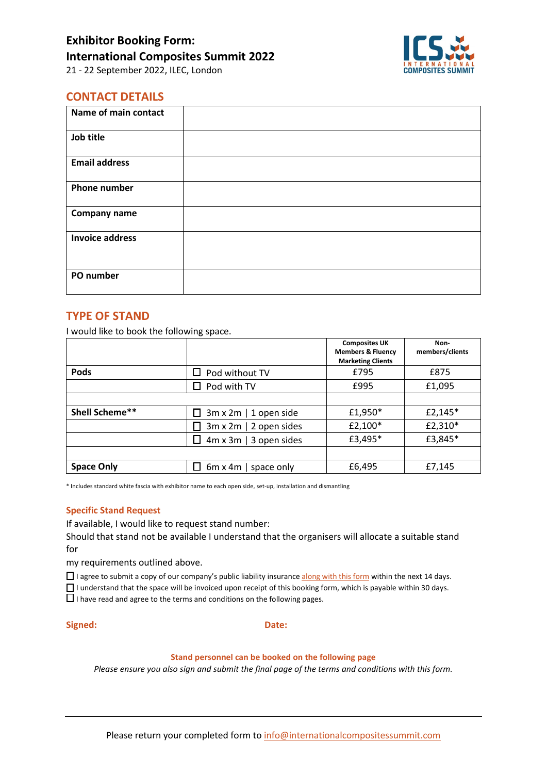

### **CONTACT DETAILS**

| Name of main contact   |  |
|------------------------|--|
| Job title              |  |
| <b>Email address</b>   |  |
| <b>Phone number</b>    |  |
| <b>Company name</b>    |  |
| <b>Invoice address</b> |  |
| PO number              |  |

#### **TYPE OF STAND**

I would like to book the following space.

|                   |                               | <b>Composites UK</b><br><b>Members &amp; Fluency</b><br><b>Marketing Clients</b> | Non-<br>members/clients |
|-------------------|-------------------------------|----------------------------------------------------------------------------------|-------------------------|
| <b>Pods</b>       | Pod without TV                | £795                                                                             | £875                    |
|                   | Pod with TV                   | £995                                                                             | £1,095                  |
|                   |                               |                                                                                  |                         |
| Shell Scheme**    | 3m x 2m   1 open side         | £1,950*                                                                          | £2,145*                 |
|                   | $3m \times 2m$   2 open sides | £2,100*                                                                          | £2,310*                 |
|                   | $4m \times 3m$   3 open sides | £3,495*                                                                          | £3,845*                 |
|                   |                               |                                                                                  |                         |
| <b>Space Only</b> | 6m x 4m   space only          | £6,495                                                                           | £7,145                  |

\* Includes standard white fascia with exhibitor name to each open side, set-up, installation and dismantling

#### **Specific Stand Request**

If available, I would like to request stand number:

Should that stand not be available I understand that the organisers will allocate a suitable stand for

my requirements outlined above.

□ I agree to submit a copy of our company's public liability insurance along with this form within the next 14 days.

☐ I understand that the space will be invoiced upon receipt of this booking form, which is payable within 30 days.

 $\square$  I have read and agree to the terms and conditions on the following pages.

#### **Signed: Date:**

#### **Stand personnel can be booked on the following page**

*Please ensure you also sign and submit the final page of the terms and conditions with this form.*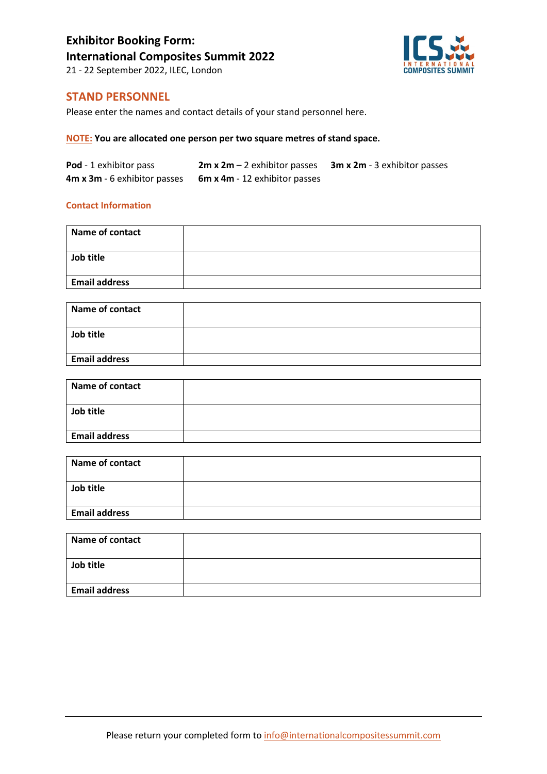# **Exhibitor Booking Form: International Composites Summit 2022**



21 - 22 September 2022, ILEC, London

### **STAND PERSONNEL**

Please enter the names and contact details of your stand personnel here.

#### **NOTE: You are allocated one person per two square metres of stand space.**

| Pod - 1 exhibitor pass       | <b>2m x 2m</b> $-$ 2 exhibitor passes | <b>3m x 2m</b> - 3 exhibitor passes |
|------------------------------|---------------------------------------|-------------------------------------|
| 4m x 3m - 6 exhibitor passes | <b>6m x 4m</b> - 12 exhibitor passes  |                                     |

#### **Contact Information**

| Name of contact      |  |
|----------------------|--|
| Job title            |  |
| <b>Email address</b> |  |

| <b>Name of contact</b> |  |
|------------------------|--|
| Job title              |  |
| <b>Email address</b>   |  |

| Name of contact      |  |
|----------------------|--|
| Job title            |  |
| <b>Email address</b> |  |

| Name of contact      |  |
|----------------------|--|
| Job title            |  |
|                      |  |
| <b>Email address</b> |  |

| Name of contact      |  |
|----------------------|--|
| Job title            |  |
| <b>Email address</b> |  |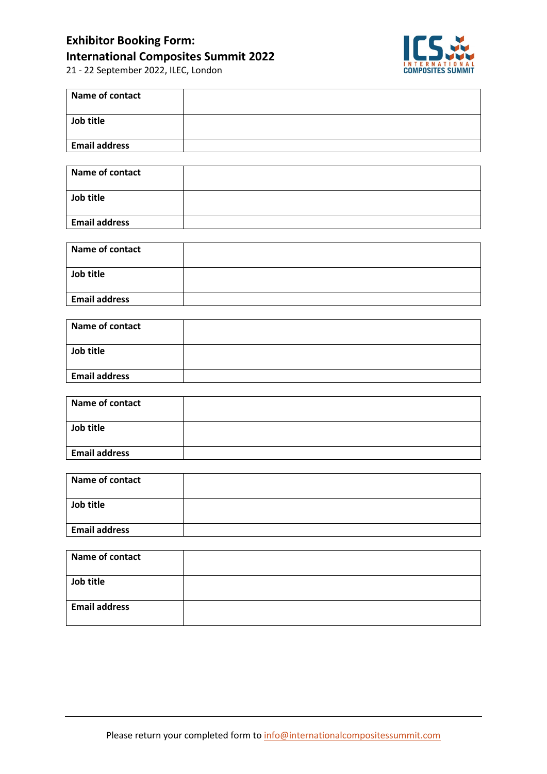### **Exhibitor Booking Form: International Composites Summit 2022**

21 - 22 September 2022, ILEC, London



| Name of contact      |  |
|----------------------|--|
| Job title            |  |
| <b>Email address</b> |  |

| Name of contact      |  |
|----------------------|--|
| Job title            |  |
| <b>Email address</b> |  |

| Name of contact      |  |
|----------------------|--|
| Job title            |  |
| <b>Email address</b> |  |

| Name of contact      |  |
|----------------------|--|
| Job title            |  |
| <b>Email address</b> |  |

| Name of contact      |  |
|----------------------|--|
| Job title            |  |
| <b>Email address</b> |  |

| <b>Name of contact</b> |  |
|------------------------|--|
| Job title              |  |
| <b>Email address</b>   |  |

| Name of contact      |  |
|----------------------|--|
|                      |  |
| Job title            |  |
|                      |  |
| <b>Email address</b> |  |
|                      |  |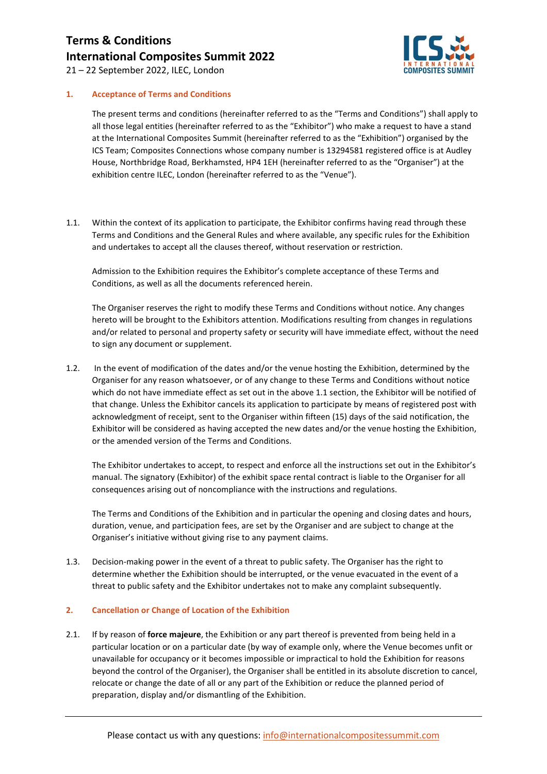

21 – 22 September 2022, ILEC, London

#### **1. Acceptance of Terms and Conditions**

The present terms and conditions (hereinafter referred to as the "Terms and Conditions") shall apply to all those legal entities (hereinafter referred to as the "Exhibitor") who make a request to have a stand at the International Composites Summit (hereinafter referred to as the "Exhibition") organised by the ICS Team; Composites Connections whose company number is 13294581 registered office is at Audley House, Northbridge Road, Berkhamsted, HP4 1EH (hereinafter referred to as the "Organiser") at the exhibition centre ILEC, London (hereinafter referred to as the "Venue").

1.1. Within the context of its application to participate, the Exhibitor confirms having read through these Terms and Conditions and the General Rules and where available, any specific rules for the Exhibition and undertakes to accept all the clauses thereof, without reservation or restriction.

Admission to the Exhibition requires the Exhibitor's complete acceptance of these Terms and Conditions, as well as all the documents referenced herein.

The Organiser reserves the right to modify these Terms and Conditions without notice. Any changes hereto will be brought to the Exhibitors attention. Modifications resulting from changes in regulations and/or related to personal and property safety or security will have immediate effect, without the need to sign any document or supplement.

1.2. In the event of modification of the dates and/or the venue hosting the Exhibition, determined by the Organiser for any reason whatsoever, or of any change to these Terms and Conditions without notice which do not have immediate effect as set out in the above 1.1 section, the Exhibitor will be notified of that change. Unless the Exhibitor cancels its application to participate by means of registered post with acknowledgment of receipt, sent to the Organiser within fifteen (15) days of the said notification, the Exhibitor will be considered as having accepted the new dates and/or the venue hosting the Exhibition, or the amended version of the Terms and Conditions.

The Exhibitor undertakes to accept, to respect and enforce all the instructions set out in the Exhibitor's manual. The signatory (Exhibitor) of the exhibit space rental contract is liable to the Organiser for all consequences arising out of noncompliance with the instructions and regulations.

The Terms and Conditions of the Exhibition and in particular the opening and closing dates and hours, duration, venue, and participation fees, are set by the Organiser and are subject to change at the Organiser's initiative without giving rise to any payment claims.

1.3. Decision-making power in the event of a threat to public safety. The Organiser has the right to determine whether the Exhibition should be interrupted, or the venue evacuated in the event of a threat to public safety and the Exhibitor undertakes not to make any complaint subsequently.

#### **2. Cancellation or Change of Location of the Exhibition**

2.1. If by reason of **force majeure**, the Exhibition or any part thereof is prevented from being held in a particular location or on a particular date (by way of example only, where the Venue becomes unfit or unavailable for occupancy or it becomes impossible or impractical to hold the Exhibition for reasons beyond the control of the Organiser), the Organiser shall be entitled in its absolute discretion to cancel, relocate or change the date of all or any part of the Exhibition or reduce the planned period of preparation, display and/or dismantling of the Exhibition.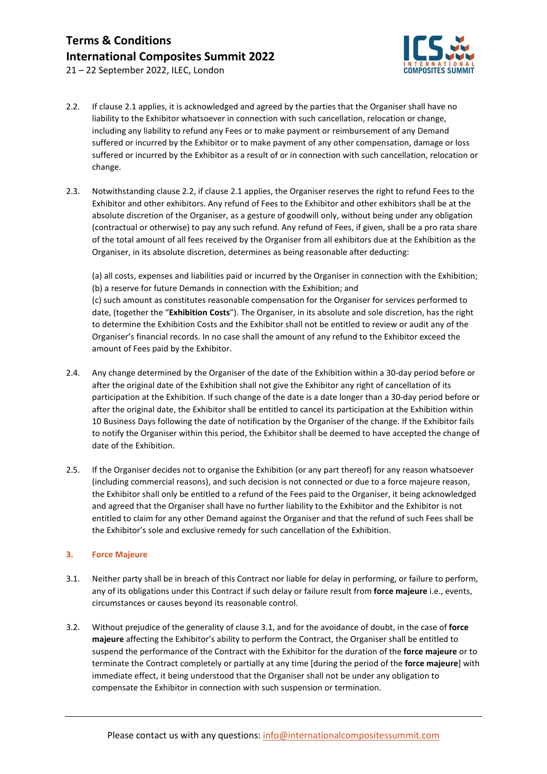

21 – 22 September 2022, ILEC, London

- 2.2. If clause 2.1 applies, it is acknowledged and agreed by the parties that the Organiser shall have no liability to the Exhibitor whatsoever in connection with such cancellation, relocation or change, including any liability to refund any Fees or to make payment or reimbursement of any Demand suffered or incurred by the Exhibitor or to make payment of any other compensation, damage or loss suffered or incurred by the Exhibitor as a result of or in connection with such cancellation, relocation or change.
- 2.3. Notwithstanding clause 2.2, if clause 2.1 applies, the Organiser reserves the right to refund Fees to the Exhibitor and other exhibitors. Any refund of Fees to the Exhibitor and other exhibitors shall be at the absolute discretion of the Organiser, as a gesture of goodwill only, without being under any obligation (contractual or otherwise) to pay any such refund. Any refund of Fees, if given, shall be a pro rata share of the total amount of all fees received by the Organiser from all exhibitors due at the Exhibition as the Organiser, in its absolute discretion, determines as being reasonable after deducting:

(a) all costs, expenses and liabilities paid or incurred by the Organiser in connection with the Exhibition; (b) a reserve for future Demands in connection with the Exhibition; and (c) such amount as constitutes reasonable compensation for the Organiser for services performed to date, (together the "**Exhibition Costs**"). The Organiser, in its absolute and sole discretion, has the right to determine the Exhibition Costs and the Exhibitor shall not be entitled to review or audit any of the Organiser's financial records. In no case shall the amount of any refund to the Exhibitor exceed the amount of Fees paid by the Exhibitor.

- 2.4. Any change determined by the Organiser of the date of the Exhibition within a 30-day period before or after the original date of the Exhibition shall not give the Exhibitor any right of cancellation of its participation at the Exhibition. If such change of the date is a date longer than a 30-day period before or after the original date, the Exhibitor shall be entitled to cancel its participation at the Exhibition within 10 Business Days following the date of notification by the Organiser of the change. If the Exhibitor fails to notify the Organiser within this period, the Exhibitor shall be deemed to have accepted the change of date of the Exhibition.
- 2.5. If the Organiser decides not to organise the Exhibition (or any part thereof) for any reason whatsoever (including commercial reasons), and such decision is not connected or due to a force majeure reason, the Exhibitor shall only be entitled to a refund of the Fees paid to the Organiser, it being acknowledged and agreed that the Organiser shall have no further liability to the Exhibitor and the Exhibitor is not entitled to claim for any other Demand against the Organiser and that the refund of such Fees shall be the Exhibitor's sole and exclusive remedy for such cancellation of the Exhibition.

#### **3. Force Majeure**

- 3.1. Neither party shall be in breach of this Contract nor liable for delay in performing, or failure to perform, any of its obligations under this Contract if such delay or failure result from **force majeure** i.e., events, circumstances or causes beyond its reasonable control.
- 3.2. Without prejudice of the generality of clause 3.1, and for the avoidance of doubt, in the case of **force majeure** affecting the Exhibitor's ability to perform the Contract, the Organiser shall be entitled to suspend the performance of the Contract with the Exhibitor for the duration of the **force majeure** or to terminate the Contract completely or partially at any time [during the period of the **force majeure**] with immediate effect, it being understood that the Organiser shall not be under any obligation to compensate the Exhibitor in connection with such suspension or termination.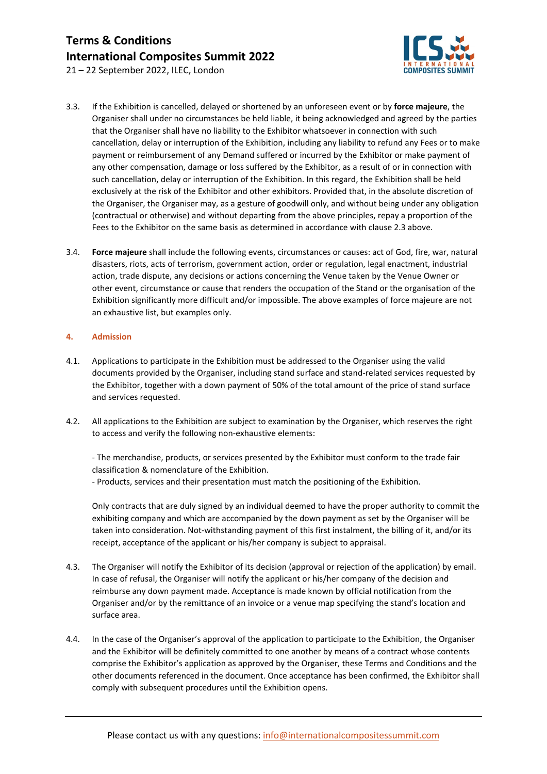

21 – 22 September 2022, ILEC, London

- 3.3. If the Exhibition is cancelled, delayed or shortened by an unforeseen event or by **force majeure**, the Organiser shall under no circumstances be held liable, it being acknowledged and agreed by the parties that the Organiser shall have no liability to the Exhibitor whatsoever in connection with such cancellation, delay or interruption of the Exhibition, including any liability to refund any Fees or to make payment or reimbursement of any Demand suffered or incurred by the Exhibitor or make payment of any other compensation, damage or loss suffered by the Exhibitor, as a result of or in connection with such cancellation, delay or interruption of the Exhibition. In this regard, the Exhibition shall be held exclusively at the risk of the Exhibitor and other exhibitors. Provided that, in the absolute discretion of the Organiser, the Organiser may, as a gesture of goodwill only, and without being under any obligation (contractual or otherwise) and without departing from the above principles, repay a proportion of the Fees to the Exhibitor on the same basis as determined in accordance with clause 2.3 above.
- 3.4. **Force majeure** shall include the following events, circumstances or causes: act of God, fire, war, natural disasters, riots, acts of terrorism, government action, order or regulation, legal enactment, industrial action, trade dispute, any decisions or actions concerning the Venue taken by the Venue Owner or other event, circumstance or cause that renders the occupation of the Stand or the organisation of the Exhibition significantly more difficult and/or impossible. The above examples of force majeure are not an exhaustive list, but examples only.

#### **4. Admission**

- 4.1. Applications to participate in the Exhibition must be addressed to the Organiser using the valid documents provided by the Organiser, including stand surface and stand-related services requested by the Exhibitor, together with a down payment of 50% of the total amount of the price of stand surface and services requested.
- 4.2. All applications to the Exhibition are subject to examination by the Organiser, which reserves the right to access and verify the following non-exhaustive elements:

 - The merchandise, products, or services presented by the Exhibitor must conform to the trade fair classification & nomenclature of the Exhibition.

- Products, services and their presentation must match the positioning of the Exhibition.

Only contracts that are duly signed by an individual deemed to have the proper authority to commit the exhibiting company and which are accompanied by the down payment as set by the Organiser will be taken into consideration. Not-withstanding payment of this first instalment, the billing of it, and/or its receipt, acceptance of the applicant or his/her company is subject to appraisal.

- 4.3. The Organiser will notify the Exhibitor of its decision (approval or rejection of the application) by email. In case of refusal, the Organiser will notify the applicant or his/her company of the decision and reimburse any down payment made. Acceptance is made known by official notification from the Organiser and/or by the remittance of an invoice or a venue map specifying the stand's location and surface area.
- 4.4. In the case of the Organiser's approval of the application to participate to the Exhibition, the Organiser and the Exhibitor will be definitely committed to one another by means of a contract whose contents comprise the Exhibitor's application as approved by the Organiser, these Terms and Conditions and the other documents referenced in the document. Once acceptance has been confirmed, the Exhibitor shall comply with subsequent procedures until the Exhibition opens.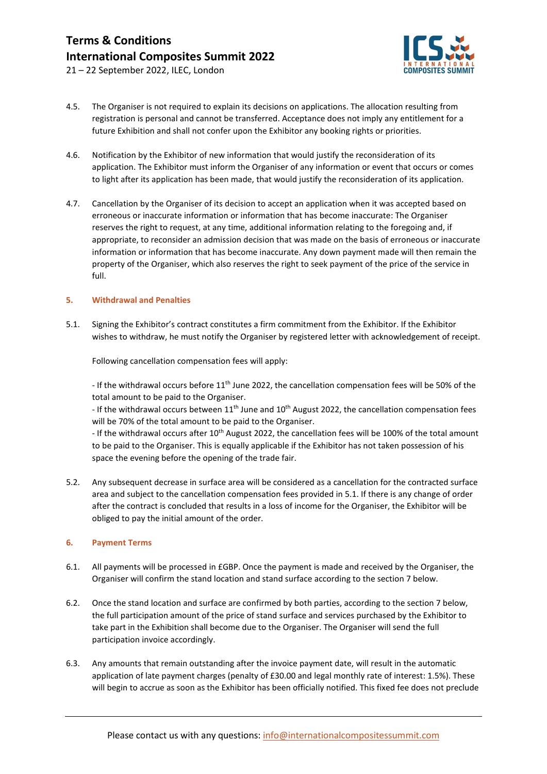

21 – 22 September 2022, ILEC, London

- 4.5. The Organiser is not required to explain its decisions on applications. The allocation resulting from registration is personal and cannot be transferred. Acceptance does not imply any entitlement for a future Exhibition and shall not confer upon the Exhibitor any booking rights or priorities.
- 4.6. Notification by the Exhibitor of new information that would justify the reconsideration of its application. The Exhibitor must inform the Organiser of any information or event that occurs or comes to light after its application has been made, that would justify the reconsideration of its application.
- 4.7. Cancellation by the Organiser of its decision to accept an application when it was accepted based on erroneous or inaccurate information or information that has become inaccurate: The Organiser reserves the right to request, at any time, additional information relating to the foregoing and, if appropriate, to reconsider an admission decision that was made on the basis of erroneous or inaccurate information or information that has become inaccurate. Any down payment made will then remain the property of the Organiser, which also reserves the right to seek payment of the price of the service in full.

#### **5. Withdrawal and Penalties**

5.1. Signing the Exhibitor's contract constitutes a firm commitment from the Exhibitor. If the Exhibitor wishes to withdraw, he must notify the Organiser by registered letter with acknowledgement of receipt.

Following cancellation compensation fees will apply:

- If the withdrawal occurs before 11<sup>th</sup> June 2022, the cancellation compensation fees will be 50% of the total amount to be paid to the Organiser.

- If the withdrawal occurs between  $11<sup>th</sup>$  June and  $10<sup>th</sup>$  August 2022, the cancellation compensation fees will be 70% of the total amount to be paid to the Organiser.

- If the withdrawal occurs after  $10^{th}$  August 2022, the cancellation fees will be 100% of the total amount to be paid to the Organiser. This is equally applicable if the Exhibitor has not taken possession of his space the evening before the opening of the trade fair.

5.2. Any subsequent decrease in surface area will be considered as a cancellation for the contracted surface area and subject to the cancellation compensation fees provided in 5.1. If there is any change of order after the contract is concluded that results in a loss of income for the Organiser, the Exhibitor will be obliged to pay the initial amount of the order.

#### **6. Payment Terms**

- 6.1. All payments will be processed in £GBP. Once the payment is made and received by the Organiser, the Organiser will confirm the stand location and stand surface according to the section 7 below.
- 6.2. Once the stand location and surface are confirmed by both parties, according to the section 7 below, the full participation amount of the price of stand surface and services purchased by the Exhibitor to take part in the Exhibition shall become due to the Organiser. The Organiser will send the full participation invoice accordingly.
- 6.3. Any amounts that remain outstanding after the invoice payment date, will result in the automatic application of late payment charges (penalty of £30.00 and legal monthly rate of interest: 1.5%). These will begin to accrue as soon as the Exhibitor has been officially notified. This fixed fee does not preclude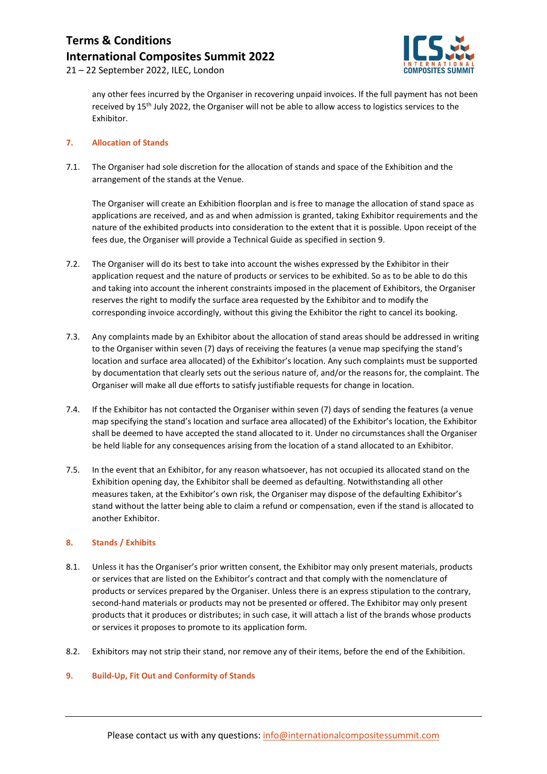

21 – 22 September 2022, ILEC, London

any other fees incurred by the Organiser in recovering unpaid invoices. If the full payment has not been received by 15th July 2022, the Organiser will not be able to allow access to logistics services to the Exhibitor.

#### **7. Allocation of Stands**

7.1. The Organiser had sole discretion for the allocation of stands and space of the Exhibition and the arrangement of the stands at the Venue.

The Organiser will create an Exhibition floorplan and is free to manage the allocation of stand space as applications are received, and as and when admission is granted, taking Exhibitor requirements and the nature of the exhibited products into consideration to the extent that it is possible. Upon receipt of the fees due, the Organiser will provide a Technical Guide as specified in section 9.

- 7.2. The Organiser will do its best to take into account the wishes expressed by the Exhibitor in their application request and the nature of products or services to be exhibited. So as to be able to do this and taking into account the inherent constraints imposed in the placement of Exhibitors, the Organiser reserves the right to modify the surface area requested by the Exhibitor and to modify the corresponding invoice accordingly, without this giving the Exhibitor the right to cancel its booking.
- 7.3. Any complaints made by an Exhibitor about the allocation of stand areas should be addressed in writing to the Organiser within seven (7) days of receiving the features (a venue map specifying the stand's location and surface area allocated) of the Exhibitor's location. Any such complaints must be supported by documentation that clearly sets out the serious nature of, and/or the reasons for, the complaint. The Organiser will make all due efforts to satisfy justifiable requests for change in location.
- 7.4. If the Exhibitor has not contacted the Organiser within seven (7) days of sending the features (a venue map specifying the stand's location and surface area allocated) of the Exhibitor's location, the Exhibitor shall be deemed to have accepted the stand allocated to it. Under no circumstances shall the Organiser be held liable for any consequences arising from the location of a stand allocated to an Exhibitor.
- 7.5. In the event that an Exhibitor, for any reason whatsoever, has not occupied its allocated stand on the Exhibition opening day, the Exhibitor shall be deemed as defaulting. Notwithstanding all other measures taken, at the Exhibitor's own risk, the Organiser may dispose of the defaulting Exhibitor's stand without the latter being able to claim a refund or compensation, even if the stand is allocated to another Exhibitor.

#### **8. Stands / Exhibits**

- 8.1. Unless it has the Organiser's prior written consent, the Exhibitor may only present materials, products or services that are listed on the Exhibitor's contract and that comply with the nomenclature of products or services prepared by the Organiser. Unless there is an express stipulation to the contrary, second-hand materials or products may not be presented or offered. The Exhibitor may only present products that it produces or distributes; in such case, it will attach a list of the brands whose products or services it proposes to promote to its application form.
- 8.2. Exhibitors may not strip their stand, nor remove any of their items, before the end of the Exhibition.

#### **9. Build-Up, Fit Out and Conformity of Stands**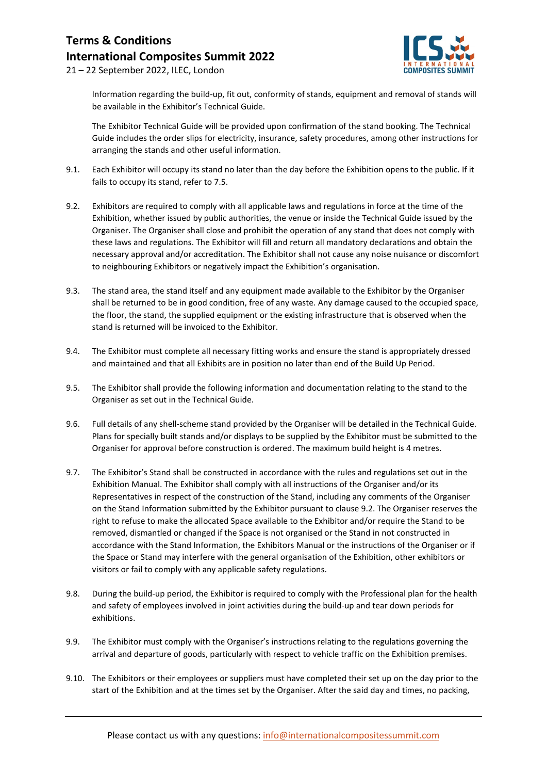

21 – 22 September 2022, ILEC, London

Information regarding the build-up, fit out, conformity of stands, equipment and removal of stands will be available in the Exhibitor's Technical Guide.

The Exhibitor Technical Guide will be provided upon confirmation of the stand booking. The Technical Guide includes the order slips for electricity, insurance, safety procedures, among other instructions for arranging the stands and other useful information.

- 9.1. Each Exhibitor will occupy its stand no later than the day before the Exhibition opens to the public. If it fails to occupy its stand, refer to 7.5.
- 9.2. Exhibitors are required to comply with all applicable laws and regulations in force at the time of the Exhibition, whether issued by public authorities, the venue or inside the Technical Guide issued by the Organiser. The Organiser shall close and prohibit the operation of any stand that does not comply with these laws and regulations. The Exhibitor will fill and return all mandatory declarations and obtain the necessary approval and/or accreditation. The Exhibitor shall not cause any noise nuisance or discomfort to neighbouring Exhibitors or negatively impact the Exhibition's organisation.
- 9.3. The stand area, the stand itself and any equipment made available to the Exhibitor by the Organiser shall be returned to be in good condition, free of any waste. Any damage caused to the occupied space, the floor, the stand, the supplied equipment or the existing infrastructure that is observed when the stand is returned will be invoiced to the Exhibitor.
- 9.4. The Exhibitor must complete all necessary fitting works and ensure the stand is appropriately dressed and maintained and that all Exhibits are in position no later than end of the Build Up Period.
- 9.5. The Exhibitor shall provide the following information and documentation relating to the stand to the Organiser as set out in the Technical Guide.
- 9.6. Full details of any shell-scheme stand provided by the Organiser will be detailed in the Technical Guide. Plans for specially built stands and/or displays to be supplied by the Exhibitor must be submitted to the Organiser for approval before construction is ordered. The maximum build height is 4 metres.
- 9.7. The Exhibitor's Stand shall be constructed in accordance with the rules and regulations set out in the Exhibition Manual. The Exhibitor shall comply with all instructions of the Organiser and/or its Representatives in respect of the construction of the Stand, including any comments of the Organiser on the Stand Information submitted by the Exhibitor pursuant to clause 9.2. The Organiser reserves the right to refuse to make the allocated Space available to the Exhibitor and/or require the Stand to be removed, dismantled or changed if the Space is not organised or the Stand in not constructed in accordance with the Stand Information, the Exhibitors Manual or the instructions of the Organiser or if the Space or Stand may interfere with the general organisation of the Exhibition, other exhibitors or visitors or fail to comply with any applicable safety regulations.
- 9.8. During the build-up period, the Exhibitor is required to comply with the Professional plan for the health and safety of employees involved in joint activities during the build-up and tear down periods for exhibitions.
- 9.9. The Exhibitor must comply with the Organiser's instructions relating to the regulations governing the arrival and departure of goods, particularly with respect to vehicle traffic on the Exhibition premises.
- 9.10. The Exhibitors or their employees or suppliers must have completed their set up on the day prior to the start of the Exhibition and at the times set by the Organiser. After the said day and times, no packing,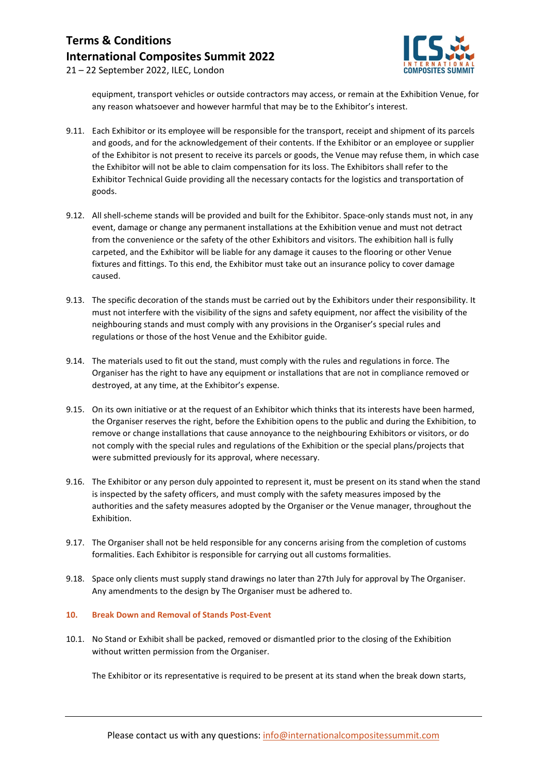

21 – 22 September 2022, ILEC, London

equipment, transport vehicles or outside contractors may access, or remain at the Exhibition Venue, for any reason whatsoever and however harmful that may be to the Exhibitor's interest.

- 9.11. Each Exhibitor or its employee will be responsible for the transport, receipt and shipment of its parcels and goods, and for the acknowledgement of their contents. If the Exhibitor or an employee or supplier of the Exhibitor is not present to receive its parcels or goods, the Venue may refuse them, in which case the Exhibitor will not be able to claim compensation for its loss. The Exhibitors shall refer to the Exhibitor Technical Guide providing all the necessary contacts for the logistics and transportation of goods.
- 9.12. All shell-scheme stands will be provided and built for the Exhibitor. Space-only stands must not, in any event, damage or change any permanent installations at the Exhibition venue and must not detract from the convenience or the safety of the other Exhibitors and visitors. The exhibition hall is fully carpeted, and the Exhibitor will be liable for any damage it causes to the flooring or other Venue fixtures and fittings. To this end, the Exhibitor must take out an insurance policy to cover damage caused.
- 9.13. The specific decoration of the stands must be carried out by the Exhibitors under their responsibility. It must not interfere with the visibility of the signs and safety equipment, nor affect the visibility of the neighbouring stands and must comply with any provisions in the Organiser's special rules and regulations or those of the host Venue and the Exhibitor guide.
- 9.14. The materials used to fit out the stand, must comply with the rules and regulations in force. The Organiser has the right to have any equipment or installations that are not in compliance removed or destroyed, at any time, at the Exhibitor's expense.
- 9.15. On its own initiative or at the request of an Exhibitor which thinks that its interests have been harmed, the Organiser reserves the right, before the Exhibition opens to the public and during the Exhibition, to remove or change installations that cause annoyance to the neighbouring Exhibitors or visitors, or do not comply with the special rules and regulations of the Exhibition or the special plans/projects that were submitted previously for its approval, where necessary.
- 9.16. The Exhibitor or any person duly appointed to represent it, must be present on its stand when the stand is inspected by the safety officers, and must comply with the safety measures imposed by the authorities and the safety measures adopted by the Organiser or the Venue manager, throughout the Exhibition.
- 9.17. The Organiser shall not be held responsible for any concerns arising from the completion of customs formalities. Each Exhibitor is responsible for carrying out all customs formalities.
- 9.18. Space only clients must supply stand drawings no later than 27th July for approval by The Organiser. Any amendments to the design by The Organiser must be adhered to.

#### **10. Break Down and Removal of Stands Post-Event**

10.1. No Stand or Exhibit shall be packed, removed or dismantled prior to the closing of the Exhibition without written permission from the Organiser.

The Exhibitor or its representative is required to be present at its stand when the break down starts,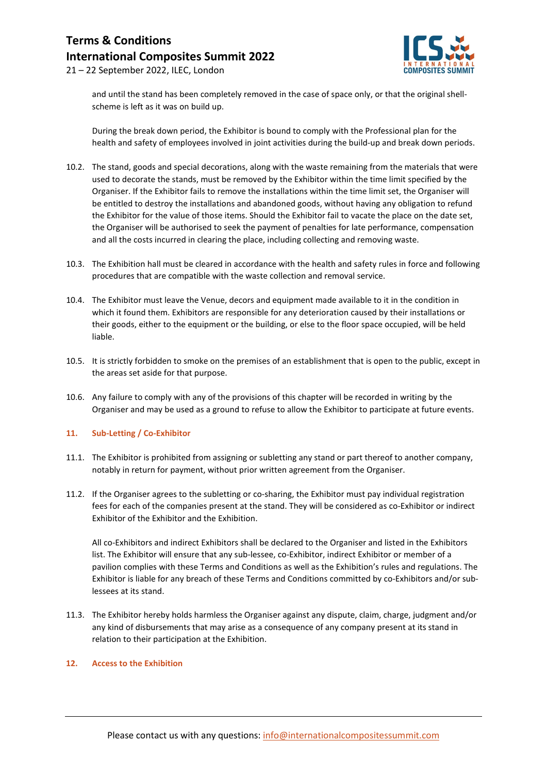

21 – 22 September 2022, ILEC, London

and until the stand has been completely removed in the case of space only, or that the original shellscheme is left as it was on build up.

During the break down period, the Exhibitor is bound to comply with the Professional plan for the health and safety of employees involved in joint activities during the build-up and break down periods.

- 10.2. The stand, goods and special decorations, along with the waste remaining from the materials that were used to decorate the stands, must be removed by the Exhibitor within the time limit specified by the Organiser. If the Exhibitor fails to remove the installations within the time limit set, the Organiser will be entitled to destroy the installations and abandoned goods, without having any obligation to refund the Exhibitor for the value of those items. Should the Exhibitor fail to vacate the place on the date set, the Organiser will be authorised to seek the payment of penalties for late performance, compensation and all the costs incurred in clearing the place, including collecting and removing waste.
- 10.3. The Exhibition hall must be cleared in accordance with the health and safety rules in force and following procedures that are compatible with the waste collection and removal service.
- 10.4. The Exhibitor must leave the Venue, decors and equipment made available to it in the condition in which it found them. Exhibitors are responsible for any deterioration caused by their installations or their goods, either to the equipment or the building, or else to the floor space occupied, will be held liable.
- 10.5. It is strictly forbidden to smoke on the premises of an establishment that is open to the public, except in the areas set aside for that purpose.
- 10.6. Any failure to comply with any of the provisions of this chapter will be recorded in writing by the Organiser and may be used as a ground to refuse to allow the Exhibitor to participate at future events.

#### **11. Sub-Letting / Co-Exhibitor**

- 11.1. The Exhibitor is prohibited from assigning or subletting any stand or part thereof to another company, notably in return for payment, without prior written agreement from the Organiser.
- 11.2. If the Organiser agrees to the subletting or co-sharing, the Exhibitor must pay individual registration fees for each of the companies present at the stand. They will be considered as co-Exhibitor or indirect Exhibitor of the Exhibitor and the Exhibition.

All co-Exhibitors and indirect Exhibitors shall be declared to the Organiser and listed in the Exhibitors list. The Exhibitor will ensure that any sub-lessee, co-Exhibitor, indirect Exhibitor or member of a pavilion complies with these Terms and Conditions as well as the Exhibition's rules and regulations. The Exhibitor is liable for any breach of these Terms and Conditions committed by co-Exhibitors and/or sublessees at its stand.

11.3. The Exhibitor hereby holds harmless the Organiser against any dispute, claim, charge, judgment and/or any kind of disbursements that may arise as a consequence of any company present at its stand in relation to their participation at the Exhibition.

#### **12. Access to the Exhibition**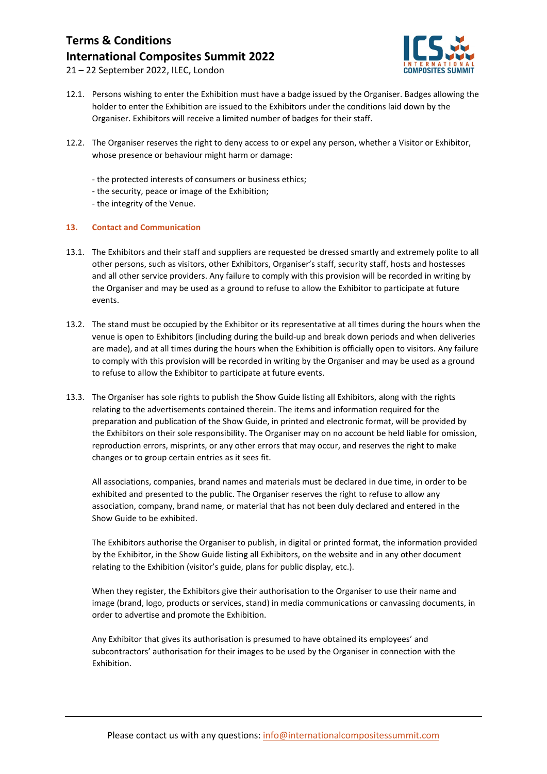

21 – 22 September 2022, ILEC, London

- 12.1. Persons wishing to enter the Exhibition must have a badge issued by the Organiser. Badges allowing the holder to enter the Exhibition are issued to the Exhibitors under the conditions laid down by the Organiser. Exhibitors will receive a limited number of badges for their staff.
- 12.2. The Organiser reserves the right to deny access to or expel any person, whether a Visitor or Exhibitor, whose presence or behaviour might harm or damage:
	- the protected interests of consumers or business ethics;
	- the security, peace or image of the Exhibition;
	- the integrity of the Venue.

#### **13. Contact and Communication**

- 13.1. The Exhibitors and their staff and suppliers are requested be dressed smartly and extremely polite to all other persons, such as visitors, other Exhibitors, Organiser's staff, security staff, hosts and hostesses and all other service providers. Any failure to comply with this provision will be recorded in writing by the Organiser and may be used as a ground to refuse to allow the Exhibitor to participate at future events.
- 13.2. The stand must be occupied by the Exhibitor or its representative at all times during the hours when the venue is open to Exhibitors (including during the build-up and break down periods and when deliveries are made), and at all times during the hours when the Exhibition is officially open to visitors. Any failure to comply with this provision will be recorded in writing by the Organiser and may be used as a ground to refuse to allow the Exhibitor to participate at future events.
- 13.3. The Organiser has sole rights to publish the Show Guide listing all Exhibitors, along with the rights relating to the advertisements contained therein. The items and information required for the preparation and publication of the Show Guide, in printed and electronic format, will be provided by the Exhibitors on their sole responsibility. The Organiser may on no account be held liable for omission, reproduction errors, misprints, or any other errors that may occur, and reserves the right to make changes or to group certain entries as it sees fit.

All associations, companies, brand names and materials must be declared in due time, in order to be exhibited and presented to the public. The Organiser reserves the right to refuse to allow any association, company, brand name, or material that has not been duly declared and entered in the Show Guide to be exhibited.

The Exhibitors authorise the Organiser to publish, in digital or printed format, the information provided by the Exhibitor, in the Show Guide listing all Exhibitors, on the website and in any other document relating to the Exhibition (visitor's guide, plans for public display, etc.).

When they register, the Exhibitors give their authorisation to the Organiser to use their name and image (brand, logo, products or services, stand) in media communications or canvassing documents, in order to advertise and promote the Exhibition.

Any Exhibitor that gives its authorisation is presumed to have obtained its employees' and subcontractors' authorisation for their images to be used by the Organiser in connection with the Exhibition.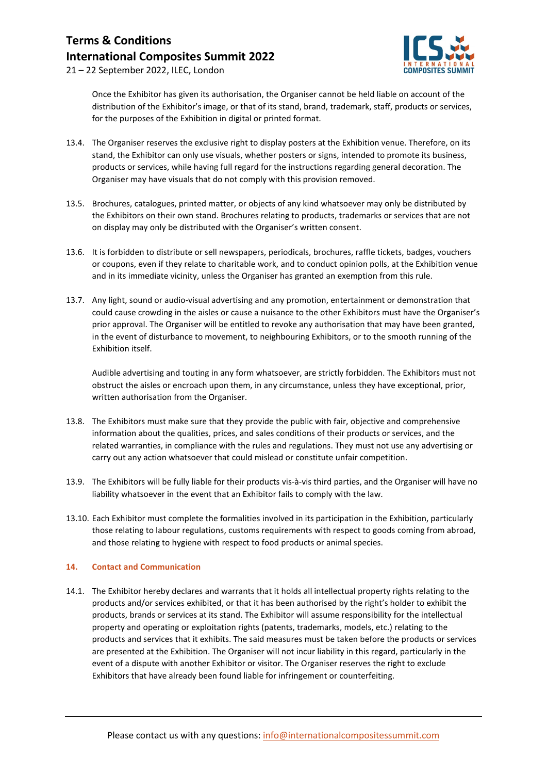

21 – 22 September 2022, ILEC, London

Once the Exhibitor has given its authorisation, the Organiser cannot be held liable on account of the distribution of the Exhibitor's image, or that of its stand, brand, trademark, staff, products or services, for the purposes of the Exhibition in digital or printed format.

- 13.4. The Organiser reserves the exclusive right to display posters at the Exhibition venue. Therefore, on its stand, the Exhibitor can only use visuals, whether posters or signs, intended to promote its business, products or services, while having full regard for the instructions regarding general decoration. The Organiser may have visuals that do not comply with this provision removed.
- 13.5. Brochures, catalogues, printed matter, or objects of any kind whatsoever may only be distributed by the Exhibitors on their own stand. Brochures relating to products, trademarks or services that are not on display may only be distributed with the Organiser's written consent.
- 13.6. It is forbidden to distribute or sell newspapers, periodicals, brochures, raffle tickets, badges, vouchers or coupons, even if they relate to charitable work, and to conduct opinion polls, at the Exhibition venue and in its immediate vicinity, unless the Organiser has granted an exemption from this rule.
- 13.7. Any light, sound or audio-visual advertising and any promotion, entertainment or demonstration that could cause crowding in the aisles or cause a nuisance to the other Exhibitors must have the Organiser's prior approval. The Organiser will be entitled to revoke any authorisation that may have been granted, in the event of disturbance to movement, to neighbouring Exhibitors, or to the smooth running of the Exhibition itself.

Audible advertising and touting in any form whatsoever, are strictly forbidden. The Exhibitors must not obstruct the aisles or encroach upon them, in any circumstance, unless they have exceptional, prior, written authorisation from the Organiser.

- 13.8. The Exhibitors must make sure that they provide the public with fair, objective and comprehensive information about the qualities, prices, and sales conditions of their products or services, and the related warranties, in compliance with the rules and regulations. They must not use any advertising or carry out any action whatsoever that could mislead or constitute unfair competition.
- 13.9. The Exhibitors will be fully liable for their products vis-à-vis third parties, and the Organiser will have no liability whatsoever in the event that an Exhibitor fails to comply with the law.
- 13.10. Each Exhibitor must complete the formalities involved in its participation in the Exhibition, particularly those relating to labour regulations, customs requirements with respect to goods coming from abroad, and those relating to hygiene with respect to food products or animal species.

#### **14. Contact and Communication**

14.1. The Exhibitor hereby declares and warrants that it holds all intellectual property rights relating to the products and/or services exhibited, or that it has been authorised by the right's holder to exhibit the products, brands or services at its stand. The Exhibitor will assume responsibility for the intellectual property and operating or exploitation rights (patents, trademarks, models, etc.) relating to the products and services that it exhibits. The said measures must be taken before the products or services are presented at the Exhibition. The Organiser will not incur liability in this regard, particularly in the event of a dispute with another Exhibitor or visitor. The Organiser reserves the right to exclude Exhibitors that have already been found liable for infringement or counterfeiting.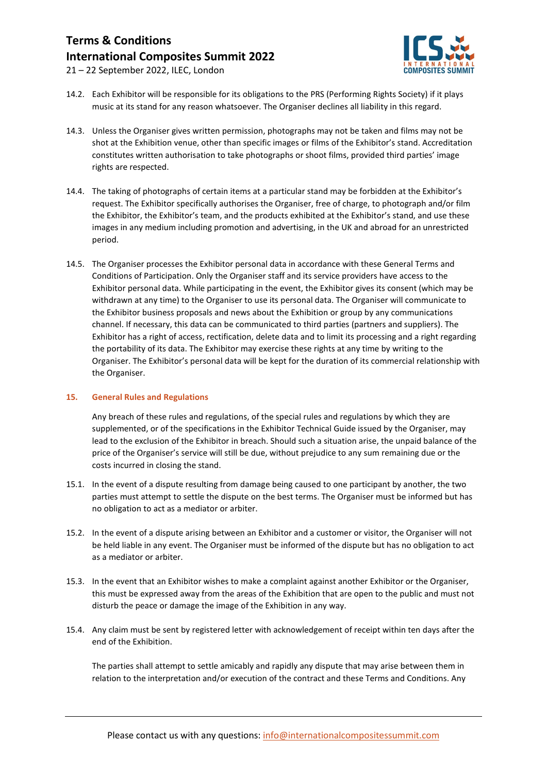

21 – 22 September 2022, ILEC, London

- 14.2. Each Exhibitor will be responsible for its obligations to the PRS (Performing Rights Society) if it plays music at its stand for any reason whatsoever. The Organiser declines all liability in this regard.
- 14.3. Unless the Organiser gives written permission, photographs may not be taken and films may not be shot at the Exhibition venue, other than specific images or films of the Exhibitor's stand. Accreditation constitutes written authorisation to take photographs or shoot films, provided third parties' image rights are respected.
- 14.4. The taking of photographs of certain items at a particular stand may be forbidden at the Exhibitor's request. The Exhibitor specifically authorises the Organiser, free of charge, to photograph and/or film the Exhibitor, the Exhibitor's team, and the products exhibited at the Exhibitor's stand, and use these images in any medium including promotion and advertising, in the UK and abroad for an unrestricted period.
- 14.5. The Organiser processes the Exhibitor personal data in accordance with these General Terms and Conditions of Participation. Only the Organiser staff and its service providers have access to the Exhibitor personal data. While participating in the event, the Exhibitor gives its consent (which may be withdrawn at any time) to the Organiser to use its personal data. The Organiser will communicate to the Exhibitor business proposals and news about the Exhibition or group by any communications channel. If necessary, this data can be communicated to third parties (partners and suppliers). The Exhibitor has a right of access, rectification, delete data and to limit its processing and a right regarding the portability of its data. The Exhibitor may exercise these rights at any time by writing to the Organiser. The Exhibitor's personal data will be kept for the duration of its commercial relationship with the Organiser.

#### **15. General Rules and Regulations**

Any breach of these rules and regulations, of the special rules and regulations by which they are supplemented, or of the specifications in the Exhibitor Technical Guide issued by the Organiser, may lead to the exclusion of the Exhibitor in breach. Should such a situation arise, the unpaid balance of the price of the Organiser's service will still be due, without prejudice to any sum remaining due or the costs incurred in closing the stand.

- 15.1. In the event of a dispute resulting from damage being caused to one participant by another, the two parties must attempt to settle the dispute on the best terms. The Organiser must be informed but has no obligation to act as a mediator or arbiter.
- 15.2. In the event of a dispute arising between an Exhibitor and a customer or visitor, the Organiser will not be held liable in any event. The Organiser must be informed of the dispute but has no obligation to act as a mediator or arbiter.
- 15.3. In the event that an Exhibitor wishes to make a complaint against another Exhibitor or the Organiser, this must be expressed away from the areas of the Exhibition that are open to the public and must not disturb the peace or damage the image of the Exhibition in any way.
- 15.4. Any claim must be sent by registered letter with acknowledgement of receipt within ten days after the end of the Exhibition.

The parties shall attempt to settle amicably and rapidly any dispute that may arise between them in relation to the interpretation and/or execution of the contract and these Terms and Conditions. Any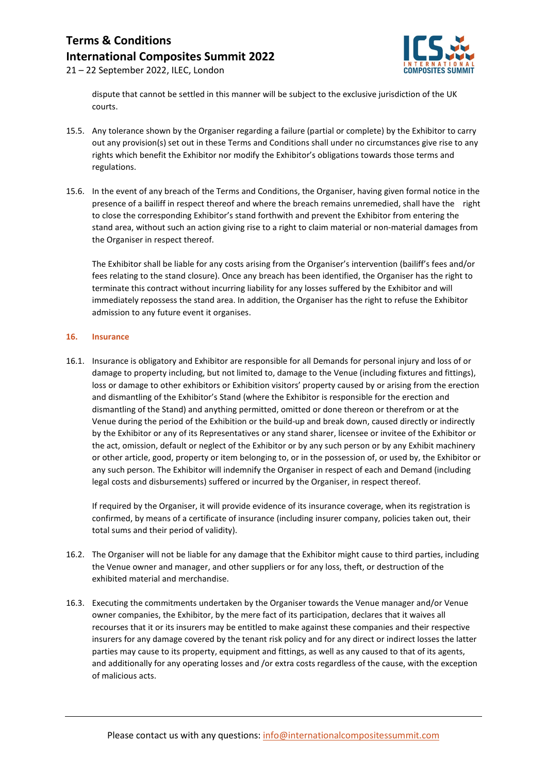

21 – 22 September 2022, ILEC, London

dispute that cannot be settled in this manner will be subject to the exclusive jurisdiction of the UK courts.

- 15.5. Any tolerance shown by the Organiser regarding a failure (partial or complete) by the Exhibitor to carry out any provision(s) set out in these Terms and Conditions shall under no circumstances give rise to any rights which benefit the Exhibitor nor modify the Exhibitor's obligations towards those terms and regulations.
- 15.6. In the event of any breach of the Terms and Conditions, the Organiser, having given formal notice in the presence of a bailiff in respect thereof and where the breach remains unremedied, shall have the right to close the corresponding Exhibitor's stand forthwith and prevent the Exhibitor from entering the stand area, without such an action giving rise to a right to claim material or non-material damages from the Organiser in respect thereof.

The Exhibitor shall be liable for any costs arising from the Organiser's intervention (bailiff's fees and/or fees relating to the stand closure). Once any breach has been identified, the Organiser has the right to terminate this contract without incurring liability for any losses suffered by the Exhibitor and will immediately repossess the stand area. In addition, the Organiser has the right to refuse the Exhibitor admission to any future event it organises.

#### **16. Insurance**

16.1. Insurance is obligatory and Exhibitor are responsible for all Demands for personal injury and loss of or damage to property including, but not limited to, damage to the Venue (including fixtures and fittings), loss or damage to other exhibitors or Exhibition visitors' property caused by or arising from the erection and dismantling of the Exhibitor's Stand (where the Exhibitor is responsible for the erection and dismantling of the Stand) and anything permitted, omitted or done thereon or therefrom or at the Venue during the period of the Exhibition or the build-up and break down, caused directly or indirectly by the Exhibitor or any of its Representatives or any stand sharer, licensee or invitee of the Exhibitor or the act, omission, default or neglect of the Exhibitor or by any such person or by any Exhibit machinery or other article, good, property or item belonging to, or in the possession of, or used by, the Exhibitor or any such person. The Exhibitor will indemnify the Organiser in respect of each and Demand (including legal costs and disbursements) suffered or incurred by the Organiser, in respect thereof.

If required by the Organiser, it will provide evidence of its insurance coverage, when its registration is confirmed, by means of a certificate of insurance (including insurer company, policies taken out, their total sums and their period of validity).

- 16.2. The Organiser will not be liable for any damage that the Exhibitor might cause to third parties, including the Venue owner and manager, and other suppliers or for any loss, theft, or destruction of the exhibited material and merchandise.
- 16.3. Executing the commitments undertaken by the Organiser towards the Venue manager and/or Venue owner companies, the Exhibitor, by the mere fact of its participation, declares that it waives all recourses that it or its insurers may be entitled to make against these companies and their respective insurers for any damage covered by the tenant risk policy and for any direct or indirect losses the latter parties may cause to its property, equipment and fittings, as well as any caused to that of its agents, and additionally for any operating losses and /or extra costs regardless of the cause, with the exception of malicious acts.